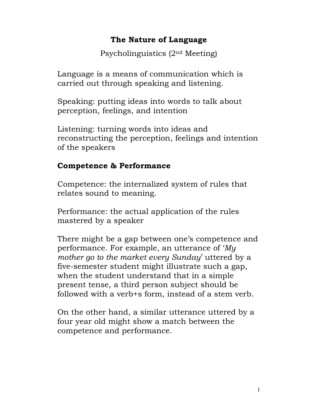## The Nature of Language

Psycholinguistics (2nd Meeting)

Language is a means of communication which is carried out through speaking and listening.

Speaking: putting ideas into words to talk about perception, feelings, and intention

Listening: turning words into ideas and reconstructing the perception, feelings and intention of the speakers

### Competence & Performance

Competence: the internalized system of rules that relates sound to meaning.

Performance: the actual application of the rules mastered by a speaker

There might be a gap between one's competence and performance. For example, an utterance of 'My mother go to the market every Sunday' uttered by a five-semester student might illustrate such a gap, when the student understand that in a simple present tense, a third person subject should be followed with a verb+s form, instead of a stem verb.

On the other hand, a similar utterance uttered by a four year old might show a match between the competence and performance.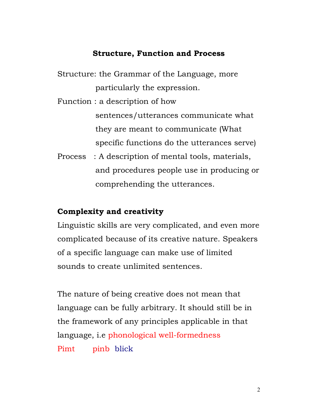#### Structure, Function and Process

Structure: the Grammar of the Language, more particularly the expression.

Function : a description of how sentences/utterances communicate what they are meant to communicate (What specific functions do the utterances serve)

Process : A description of mental tools, materials, and procedures people use in producing or comprehending the utterances.

#### Complexity and creativity

Linguistic skills are very complicated, and even more complicated because of its creative nature. Speakers of a specific language can make use of limited sounds to create unlimited sentences.

The nature of being creative does not mean that language can be fully arbitrary. It should still be in the framework of any principles applicable in that language, i.e phonological well-formedness Pimt pinb blick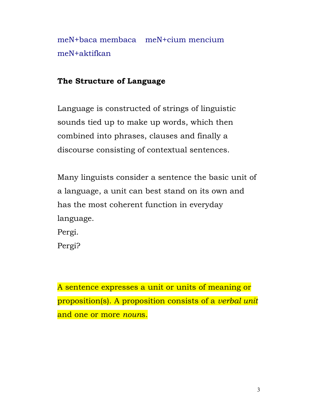meN+baca membaca meN+cium mencium meN+aktifkan

## The Structure of Language

Language is constructed of strings of linguistic sounds tied up to make up words, which then combined into phrases, clauses and finally a discourse consisting of contextual sentences.

Many linguists consider a sentence the basic unit of a language, a unit can best stand on its own and has the most coherent function in everyday language. Pergi.

Pergi?

A sentence expresses a unit or units of meaning or proposition(s). A proposition consists of a verbal unit and one or more nouns.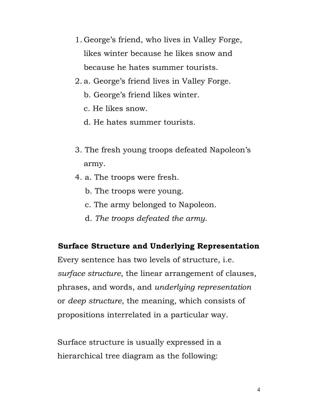- 1. George's friend, who lives in Valley Forge, likes winter because he likes snow and because he hates summer tourists.
- 2. a. George's friend lives in Valley Forge.
	- b. George's friend likes winter.
	- c. He likes snow.
	- d. He hates summer tourists.
- 3. The fresh young troops defeated Napoleon's army.
- 4. a. The troops were fresh.
	- b. The troops were young.
	- c. The army belonged to Napoleon.
	- d. The troops defeated the army.

# Surface Structure and Underlying Representation

Every sentence has two levels of structure, i.e. surface structure, the linear arrangement of clauses, phrases, and words, and underlying representation or deep structure, the meaning, which consists of propositions interrelated in a particular way.

Surface structure is usually expressed in a hierarchical tree diagram as the following: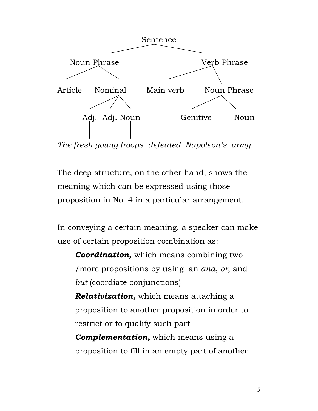

The fresh young troops defeated Napoleon's army.

The deep structure, on the other hand, shows the meaning which can be expressed using those proposition in No. 4 in a particular arrangement.

In conveying a certain meaning, a speaker can make use of certain proposition combination as:

**Coordination,** which means combining two /more propositions by using an and, or, and but (coordiate conjunctions)

**Relativization,** which means attaching a proposition to another proposition in order to restrict or to qualify such part

**Complementation,** which means using a proposition to fill in an empty part of another